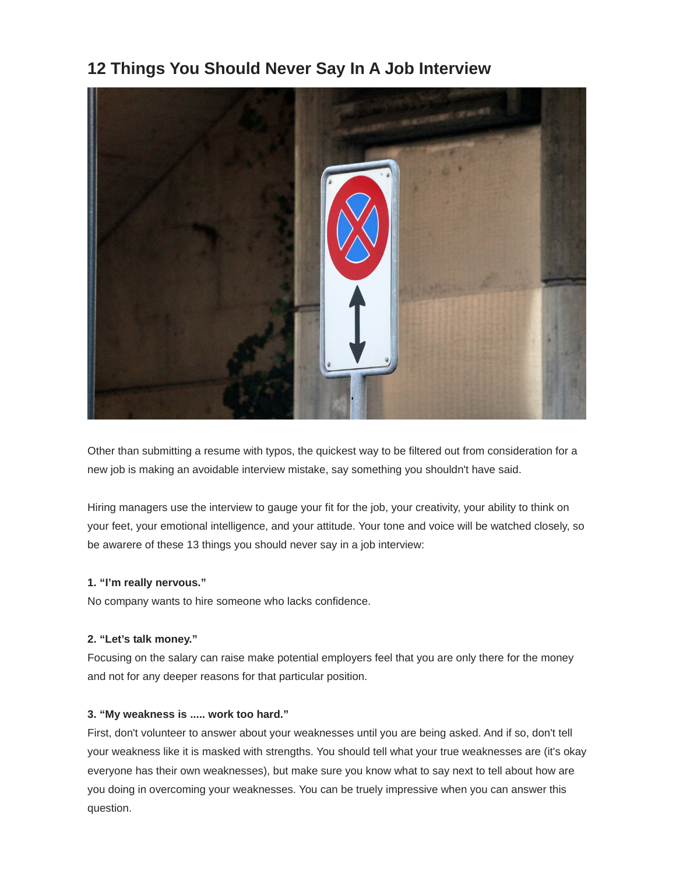# **12 Things You Should Never Say In A Job Interview**



Other than submitting a resume with typos, the quickest way to be filtered out from consideration for a new job is making an avoidable interview mistake, say something you shouldn't have said.

Hiring managers use the interview to gauge your fit for the job, your creativity, your ability to think on your feet, your emotional intelligence, and your attitude. Your tone and voice will be watched closely, so be awarere of these 13 things you should never say in a job interview:

# **1. "I'm really nervous."**

No company wants to hire someone who lacks confidence.

# **2. "Let's talk money."**

Focusing on the salary can raise make potential employers feel that you are only there for the money and not for any deeper reasons for that particular position.

#### **3. "My weakness is ..... work too hard."**

First, don't volunteer to answer about your weaknesses until you are being asked. And if so, don't tell your weakness like it is masked with strengths. You should tell what your true weaknesses are (it's okay everyone has their own weaknesses), but make sure you know what to say next to tell about how are you doing in overcoming your weaknesses. You can be truely impressive when you can answer this question.